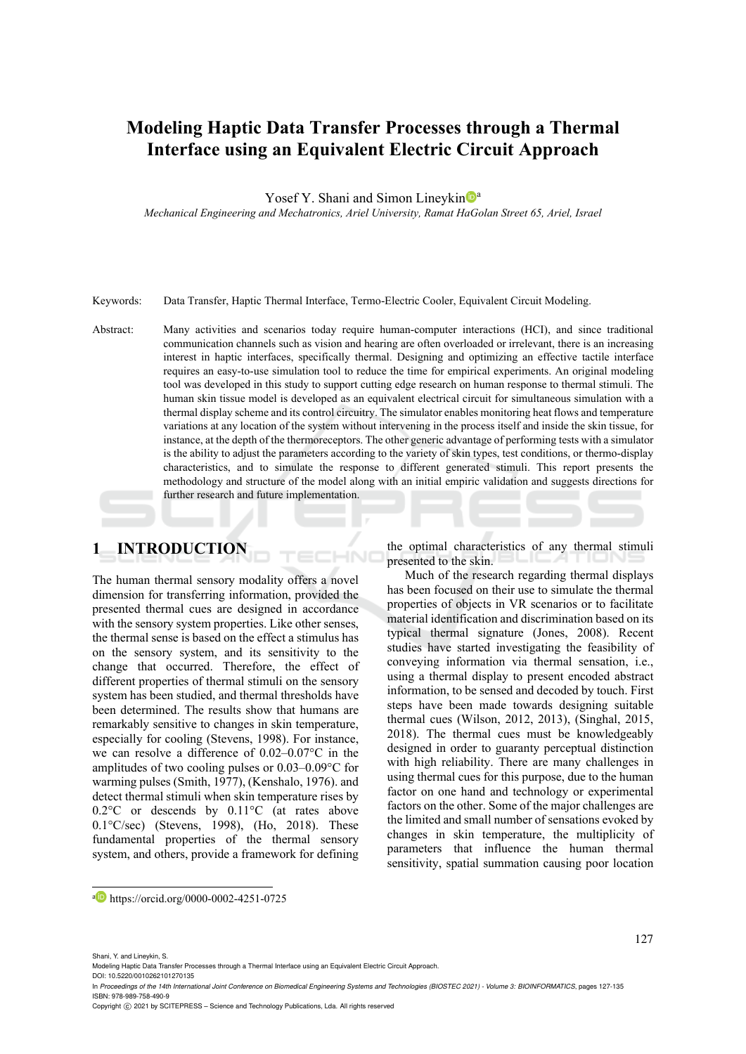# **Modeling Haptic Data Transfer Processes through a Thermal Interface using an Equivalent Electric Circuit Approach**

Yosef Y. Shani and Simon Lineykin<sup>Da</sup>

*Mechanical Engineering and Mechatronics, Ariel University, Ramat HaGolan Street 65, Ariel, Israel* 

Keywords: Data Transfer, Haptic Thermal Interface, Termo-Electric Cooler, Equivalent Circuit Modeling.

Abstract: Many activities and scenarios today require human-computer interactions (HCI), and since traditional communication channels such as vision and hearing are often overloaded or irrelevant, there is an increasing interest in haptic interfaces, specifically thermal. Designing and optimizing an effective tactile interface requires an easy-to-use simulation tool to reduce the time for empirical experiments. An original modeling tool was developed in this study to support cutting edge research on human response to thermal stimuli. The human skin tissue model is developed as an equivalent electrical circuit for simultaneous simulation with a thermal display scheme and its control circuitry. The simulator enables monitoring heat flows and temperature variations at any location of the system without intervening in the process itself and inside the skin tissue, for instance, at the depth of the thermoreceptors. The other generic advantage of performing tests with a simulator is the ability to adjust the parameters according to the variety of skin types, test conditions, or thermo-display characteristics, and to simulate the response to different generated stimuli. This report presents the methodology and structure of the model along with an initial empiric validation and suggests directions for further research and future implementation.

 $\overline{\phantom{a}}$ 

# **1 INTRODUCTION**

The human thermal sensory modality offers a novel dimension for transferring information, provided the presented thermal cues are designed in accordance with the sensory system properties. Like other senses, the thermal sense is based on the effect a stimulus has on the sensory system, and its sensitivity to the change that occurred. Therefore, the effect of different properties of thermal stimuli on the sensory system has been studied, and thermal thresholds have been determined. The results show that humans are remarkably sensitive to changes in skin temperature, especially for cooling (Stevens, 1998). For instance, we can resolve a difference of 0.02–0.07°C in the amplitudes of two cooling pulses or 0.03–0.09°C for warming pulses (Smith, 1977), (Kenshalo, 1976). and detect thermal stimuli when skin temperature rises by 0.2°C or descends by 0.11°C (at rates above 0.1°C/sec) (Stevens, 1998), (Ho, 2018). These fundamental properties of the thermal sensory system, and others, provide a framework for defining

the optimal characteristics of any thermal stimuli presented to the skin.

Much of the research regarding thermal displays has been focused on their use to simulate the thermal properties of objects in VR scenarios or to facilitate material identification and discrimination based on its typical thermal signature (Jones, 2008). Recent studies have started investigating the feasibility of conveying information via thermal sensation, i.e., using a thermal display to present encoded abstract information, to be sensed and decoded by touch. First steps have been made towards designing suitable thermal cues (Wilson, 2012, 2013), (Singhal, 2015, 2018). The thermal cues must be knowledgeably designed in order to guaranty perceptual distinction with high reliability. There are many challenges in using thermal cues for this purpose, due to the human factor on one hand and technology or experimental factors on the other. Some of the major challenges are the limited and small number of sensations evoked by changes in skin temperature, the multiplicity of parameters that influence the human thermal sensitivity, spatial summation causing poor location

a https://orcid.org/0000-0002-4251-0725

127

- DOI: 10.5220/0010262101270135 In *Proceedings of the 14th International Joint Conference on Biomedical Engineering Systems and Technologies (BIOSTEC 2021) - Volume 3: BIOINFORMATICS*, pages 127-135 ISBN: 978-989-758-490-9
- Copyright (C) 2021 by SCITEPRESS Science and Technology Publications, Lda. All rights reserved

Shani, Y. and Lineykin, S.

Modeling Haptic Data Transfer Processes through a Thermal Interface using an Equivalent Electric Circuit Approach.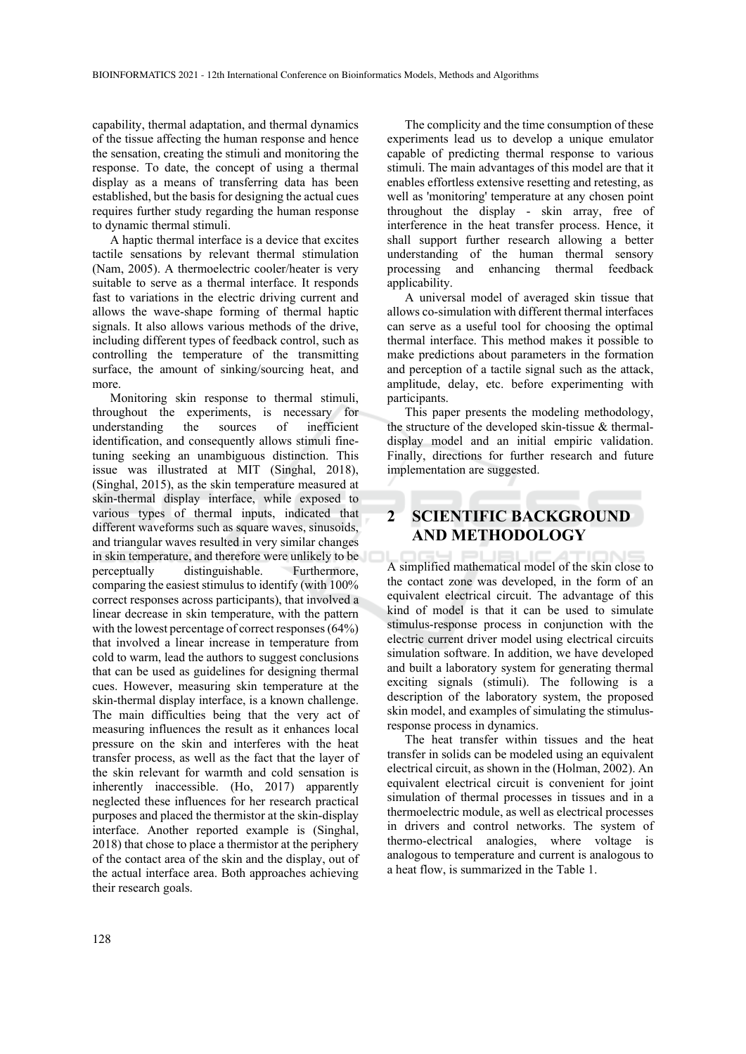capability, thermal adaptation, and thermal dynamics of the tissue affecting the human response and hence the sensation, creating the stimuli and monitoring the response. To date, the concept of using a thermal display as a means of transferring data has been established, but the basis for designing the actual cues requires further study regarding the human response to dynamic thermal stimuli.

A haptic thermal interface is a device that excites tactile sensations by relevant thermal stimulation (Nam, 2005). A thermoelectric cooler/heater is very suitable to serve as a thermal interface. It responds fast to variations in the electric driving current and allows the wave-shape forming of thermal haptic signals. It also allows various methods of the drive, including different types of feedback control, such as controlling the temperature of the transmitting surface, the amount of sinking/sourcing heat, and more.

Monitoring skin response to thermal stimuli, throughout the experiments, is necessary for understanding the sources of inefficient identification, and consequently allows stimuli finetuning seeking an unambiguous distinction. This issue was illustrated at MIT (Singhal, 2018), (Singhal, 2015), as the skin temperature measured at skin-thermal display interface, while exposed to various types of thermal inputs, indicated that different waveforms such as square waves, sinusoids, and triangular waves resulted in very similar changes in skin temperature, and therefore were unlikely to be perceptually distinguishable. Furthermore, comparing the easiest stimulus to identify (with 100% correct responses across participants), that involved a linear decrease in skin temperature, with the pattern with the lowest percentage of correct responses (64%) that involved a linear increase in temperature from cold to warm, lead the authors to suggest conclusions that can be used as guidelines for designing thermal cues. However, measuring skin temperature at the skin-thermal display interface, is a known challenge. The main difficulties being that the very act of measuring influences the result as it enhances local pressure on the skin and interferes with the heat transfer process, as well as the fact that the layer of the skin relevant for warmth and cold sensation is inherently inaccessible. (Ho, 2017) apparently neglected these influences for her research practical purposes and placed the thermistor at the skin-display interface. Another reported example is (Singhal, 2018) that chose to place a thermistor at the periphery of the contact area of the skin and the display, out of the actual interface area. Both approaches achieving their research goals.

The complicity and the time consumption of these experiments lead us to develop a unique emulator capable of predicting thermal response to various stimuli. The main advantages of this model are that it enables effortless extensive resetting and retesting, as well as 'monitoring' temperature at any chosen point throughout the display - skin array, free of interference in the heat transfer process. Hence, it shall support further research allowing a better understanding of the human thermal sensory processing and enhancing thermal feedback applicability.

A universal model of averaged skin tissue that allows co-simulation with different thermal interfaces can serve as a useful tool for choosing the optimal thermal interface. This method makes it possible to make predictions about parameters in the formation and perception of a tactile signal such as the attack, amplitude, delay, etc. before experimenting with participants.

This paper presents the modeling methodology, the structure of the developed skin-tissue & thermaldisplay model and an initial empiric validation. Finally, directions for further research and future implementation are suggested.

# **2 SCIENTIFIC BACKGROUND AND METHODOLOGY**

A simplified mathematical model of the skin close to the contact zone was developed, in the form of an equivalent electrical circuit. The advantage of this kind of model is that it can be used to simulate stimulus-response process in conjunction with the electric current driver model using electrical circuits simulation software. In addition, we have developed and built a laboratory system for generating thermal exciting signals (stimuli). The following is a description of the laboratory system, the proposed skin model, and examples of simulating the stimulusresponse process in dynamics.

The heat transfer within tissues and the heat transfer in solids can be modeled using an equivalent electrical circuit, as shown in the (Holman, 2002). An equivalent electrical circuit is convenient for joint simulation of thermal processes in tissues and in a thermoelectric module, as well as electrical processes in drivers and control networks. The system of thermo-electrical analogies, where voltage is analogous to temperature and current is analogous to a heat flow, is summarized in the Table 1.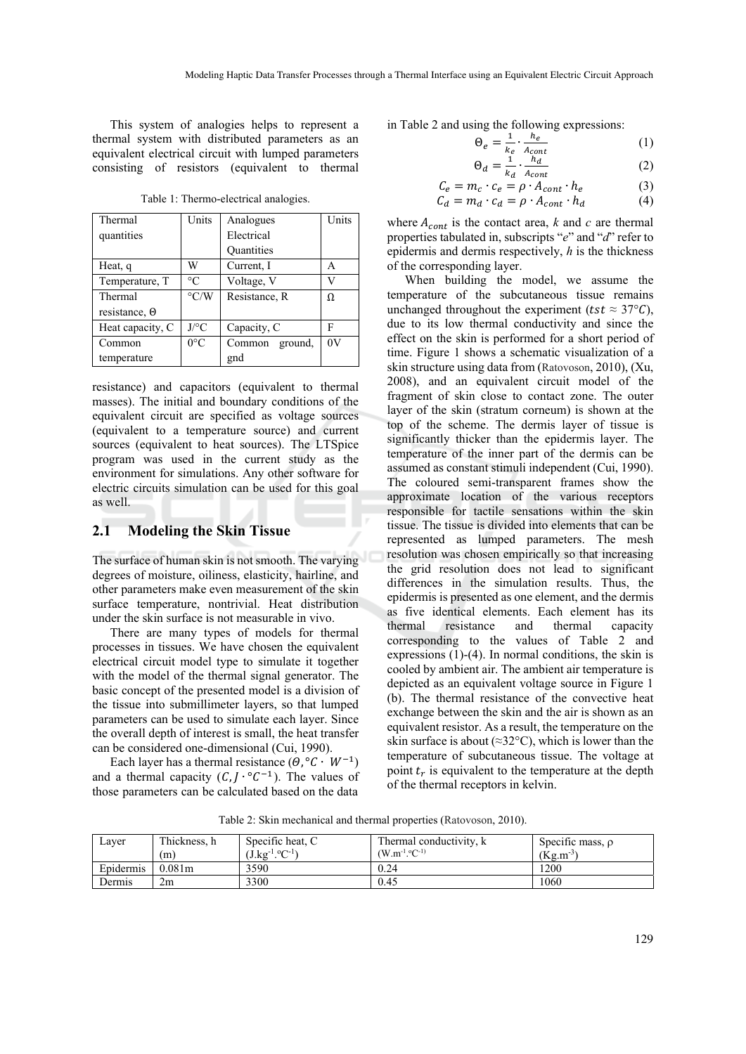This system of analogies helps to represent a thermal system with distributed parameters as an equivalent electrical circuit with lumped parameters consisting of resistors (equivalent to thermal

|  |  | Table 1: Thermo-electrical analogies. |
|--|--|---------------------------------------|
|  |  |                                       |

| Thermal          | Units              | Analogues         | Units |
|------------------|--------------------|-------------------|-------|
| quantities       |                    | Electrical        |       |
|                  |                    | <b>Quantities</b> |       |
| Heat, q          | W                  | Current, I        | А     |
| Temperature, T   | $\rm ^{\circ}C$    | Voltage, V        | V     |
| Thermal          | $\rm ^{\circ} C/W$ | Resistance, R     | Ω     |
| resistance, 0    |                    |                   |       |
| Heat capacity, C | $J$ /°C            | Capacity, C       | F     |
| Common           | $0^{\circ}$ C      | Common<br>ground, | 0V    |
| temperature      |                    | gnd               |       |

resistance) and capacitors (equivalent to thermal masses). The initial and boundary conditions of the equivalent circuit are specified as voltage sources (equivalent to a temperature source) and current sources (equivalent to heat sources). The LTSpice program was used in the current study as the environment for simulations. Any other software for electric circuits simulation can be used for this goal as well.

## **2.1 Modeling the Skin Tissue**

The surface of human skin is not smooth. The varying degrees of moisture, oiliness, elasticity, hairline, and other parameters make even measurement of the skin surface temperature, nontrivial. Heat distribution under the skin surface is not measurable in vivo.

There are many types of models for thermal processes in tissues. We have chosen the equivalent electrical circuit model type to simulate it together with the model of the thermal signal generator. The basic concept of the presented model is a division of the tissue into submillimeter layers, so that lumped parameters can be used to simulate each layer. Since the overall depth of interest is small, the heat transfer can be considered one-dimensional (Cui, 1990).

Each layer has a thermal resistance  $(\Theta, {}^{\circ}C \cdot W^{-1})$ and a thermal capacity  $(C, J \cdot {}^{\circ}C^{-1})$ . The values of those parameters can be calculated based on the data in Table 2 and using the following expressions:

$$
\Theta_e = \frac{1}{k_e} \cdot \frac{h_e}{A_{cont}}
$$
\n
$$
\Theta_d = \frac{1}{k_e} \cdot \frac{h_d}{A_{dot}}
$$
\n(1)

$$
C_e = m_c \cdot c_e = \rho \cdot A_{cont} \cdot h_e
$$
 (3)

$$
C_d = m_d \cdot c_d = \rho \cdot A_{cont} \cdot h_d \tag{4}
$$

where  $A_{cont}$  is the contact area, *k* and *c* are thermal properties tabulated in, subscripts "*e*" and "*d*" refer to epidermis and dermis respectively, *h* is the thickness of the corresponding layer.

When building the model, we assume the temperature of the subcutaneous tissue remains unchanged throughout the experiment ( $tst \approx 37^{\circ}C$ ), due to its low thermal conductivity and since the effect on the skin is performed for a short period of time. Figure 1 shows a schematic visualization of a skin structure using data from (Ratovoson, 2010), (Xu, 2008), and an equivalent circuit model of the fragment of skin close to contact zone. The outer layer of the skin (stratum corneum) is shown at the top of the scheme. The dermis layer of tissue is significantly thicker than the epidermis layer. The temperature of the inner part of the dermis can be assumed as constant stimuli independent (Cui, 1990). The coloured semi-transparent frames show the approximate location of the various receptors responsible for tactile sensations within the skin tissue. The tissue is divided into elements that can be represented as lumped parameters. The mesh resolution was chosen empirically so that increasing the grid resolution does not lead to significant differences in the simulation results. Thus, the epidermis is presented as one element, and the dermis as five identical elements. Each element has its thermal resistance and thermal capacity corresponding to the values of Table 2 and expressions (1)-(4). In normal conditions, the skin is cooled by ambient air. The ambient air temperature is depicted as an equivalent voltage source in Figure 1 (b). The thermal resistance of the convective heat exchange between the skin and the air is shown as an equivalent resistor. As a result, the temperature on the skin surface is about ( $\approx 32^{\circ}$ C), which is lower than the temperature of subcutaneous tissue. The voltage at point  $t_r$  is equivalent to the temperature at the depth of the thermal receptors in kelvin.

Layer | Thickness, h (m) Specific heat, C  $(J.kg^{-1}.{}^{\circ}C^{-1})$ Thermal conductivity, k  $(W.m^{-1}.°C^{-1})$ Specific mass,  $\rho$  $(Kg.m^{-3})$ Epidermis 0.081m 3590 0.24 1200

Dermis 2m 3300 0.45 1060

Table 2: Skin mechanical and thermal properties (Ratovoson, 2010).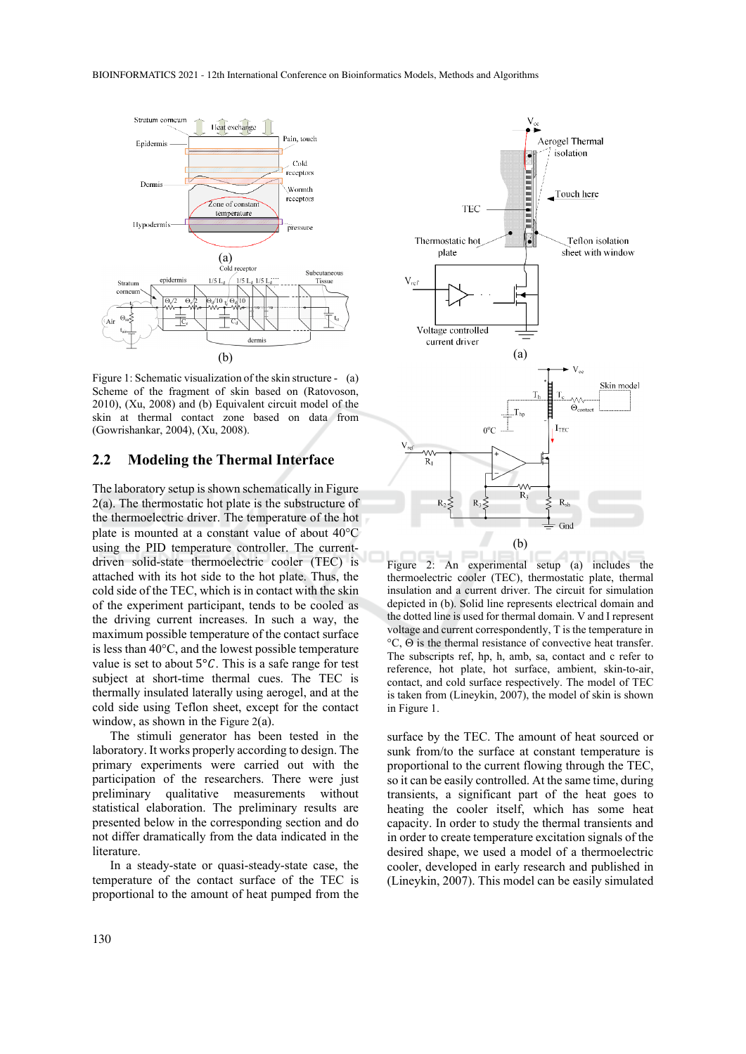

Figure 1: Schematic visualization of the skin structure - (a) Scheme of the fragment of skin based on (Ratovoson, 2010), (Xu, 2008) and (b) Equivalent circuit model of the skin at thermal contact zone based on data from (Gowrishankar, 2004), (Xu, 2008).

#### **2.2 Modeling the Thermal Interface**

The laboratory setup is shown schematically in Figure 2(a). The thermostatic hot plate is the substructure of the thermoelectric driver. The temperature of the hot plate is mounted at a constant value of about  $40^{\circ}$ C using the PID temperature controller. The currentdriven solid-state thermoelectric cooler (TEC) is attached with its hot side to the hot plate. Thus, the cold side of the TEC, which is in contact with the skin of the experiment participant, tends to be cooled as the driving current increases. In such a way, the maximum possible temperature of the contact surface is less than  $40^{\circ}$ C, and the lowest possible temperature value is set to about  $5^{\circ}C$ . This is a safe range for test subject at short-time thermal cues. The TEC is thermally insulated laterally using aerogel, and at the cold side using Teflon sheet, except for the contact window, as shown in the Figure  $2(a)$ .

The stimuli generator has been tested in the laboratory. It works properly according to design. The primary experiments were carried out with the participation of the researchers. There were just preliminary qualitative measurements without statistical elaboration. The preliminary results are presented below in the corresponding section and do not differ dramatically from the data indicated in the literature.

In a steady-state or quasi-steady-state case, the temperature of the contact surface of the TEC is proportional to the amount of heat pumped from the



Figure 2: An experimental setup (a) includes the thermoelectric cooler (TEC), thermostatic plate, thermal insulation and a current driver. The circuit for simulation depicted in (b). Solid line represents electrical domain and the dotted line is used for thermal domain. V and I represent voltage and current correspondently, T is the temperature in  $\degree$ C,  $\Theta$  is the thermal resistance of convective heat transfer. The subscripts ref, hp, h, amb, sa, contact and c refer to reference, hot plate, hot surface, ambient, skin-to-air, contact, and cold surface respectively. The model of TEC is taken from (Lineykin, 2007), the model of skin is shown in Figure 1.

surface by the TEC. The amount of heat sourced or sunk from/to the surface at constant temperature is proportional to the current flowing through the TEC, so it can be easily controlled. At the same time, during transients, a significant part of the heat goes to heating the cooler itself, which has some heat capacity. In order to study the thermal transients and in order to create temperature excitation signals of the desired shape, we used a model of a thermoelectric cooler, developed in early research and published in (Lineykin, 2007). This model can be easily simulated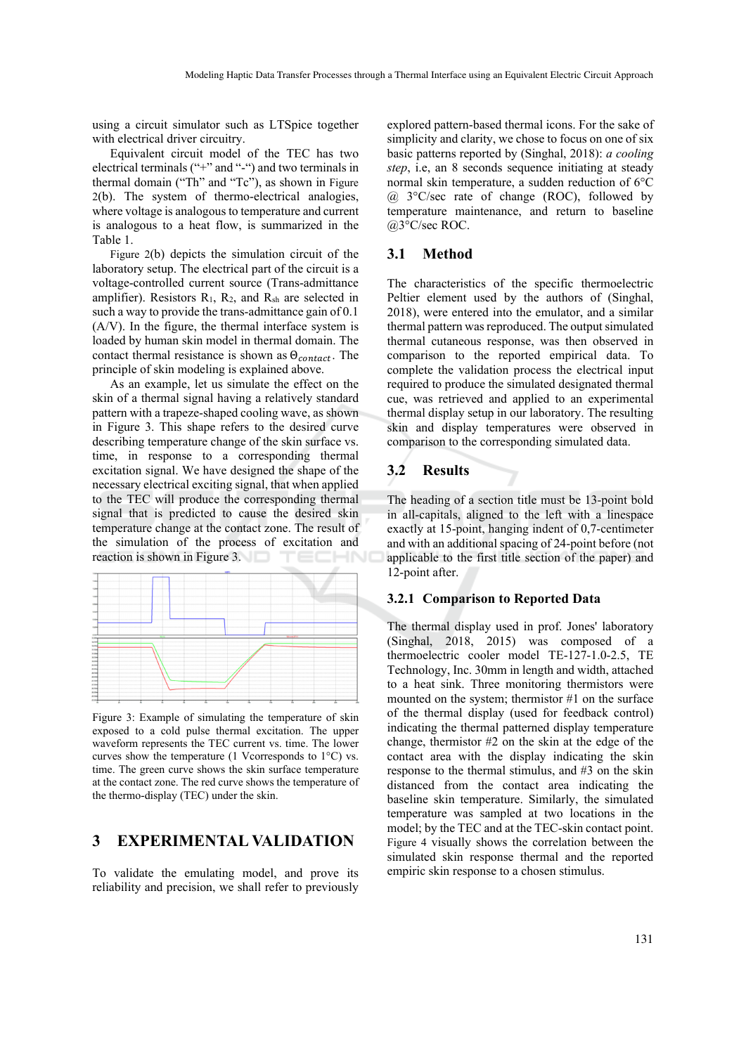using a circuit simulator such as LTSpice together with electrical driver circuitry.

Equivalent circuit model of the TEC has two electrical terminals ("+" and "-") and two terminals in thermal domain ("Th" and "Tc"), as shown in Figure 2(b). The system of thermo-electrical analogies, where voltage is analogous to temperature and current is analogous to a heat flow, is summarized in the Table 1.

Figure 2(b) depicts the simulation circuit of the laboratory setup. The electrical part of the circuit is a voltage-controlled current source (Trans-admittance amplifier). Resistors  $R_1$ ,  $R_2$ , and  $R_{sh}$  are selected in such a way to provide the trans-admittance gain of 0.1 (A/V). In the figure, the thermal interface system is loaded by human skin model in thermal domain. The contact thermal resistance is shown as  $\Theta_{contact}$ . The principle of skin modeling is explained above.

As an example, let us simulate the effect on the skin of a thermal signal having a relatively standard pattern with a trapeze-shaped cooling wave, as shown in Figure 3. This shape refers to the desired curve describing temperature change of the skin surface vs. time, in response to a corresponding thermal excitation signal. We have designed the shape of the necessary electrical exciting signal, that when applied to the TEC will produce the corresponding thermal signal that is predicted to cause the desired skin temperature change at the contact zone. The result of the simulation of the process of excitation and reaction is shown in Figure 3. -10



Figure 3: Example of simulating the temperature of skin exposed to a cold pulse thermal excitation. The upper waveform represents the TEC current vs. time. The lower curves show the temperature (1 Vcorresponds to  $1^{\circ}$ C) vs. time. The green curve shows the skin surface temperature at the contact zone. The red curve shows the temperature of the thermo-display (TEC) under the skin.

## **3 EXPERIMENTAL VALIDATION**

To validate the emulating model, and prove its reliability and precision, we shall refer to previously

explored pattern-based thermal icons. For the sake of simplicity and clarity, we chose to focus on one of six basic patterns reported by (Singhal, 2018): *a cooling step*, i.e, an 8 seconds sequence initiating at steady normal skin temperature, a sudden reduction of 6°C  $(a)$  3°C/sec rate of change (ROC), followed by temperature maintenance, and return to baseline @3°C/sec ROC.

## **3.1 Method**

The characteristics of the specific thermoelectric Peltier element used by the authors of (Singhal, 2018), were entered into the emulator, and a similar thermal pattern was reproduced. The output simulated thermal cutaneous response, was then observed in comparison to the reported empirical data. To complete the validation process the electrical input required to produce the simulated designated thermal cue, was retrieved and applied to an experimental thermal display setup in our laboratory. The resulting skin and display temperatures were observed in comparison to the corresponding simulated data.

# **3.2 Results**

The heading of a section title must be 13-point bold in all-capitals, aligned to the left with a linespace exactly at 15-point, hanging indent of 0,7-centimeter and with an additional spacing of 24-point before (not applicable to the first title section of the paper) and 12-point after.

#### **3.2.1 Comparison to Reported Data**

The thermal display used in prof. Jones' laboratory (Singhal, 2018, 2015) was composed of a thermoelectric cooler model TE-127-1.0-2.5, TE Technology, Inc. 30mm in length and width, attached to a heat sink. Three monitoring thermistors were mounted on the system; thermistor #1 on the surface of the thermal display (used for feedback control) indicating the thermal patterned display temperature change, thermistor #2 on the skin at the edge of the contact area with the display indicating the skin response to the thermal stimulus, and #3 on the skin distanced from the contact area indicating the baseline skin temperature. Similarly, the simulated temperature was sampled at two locations in the model; by the TEC and at the TEC-skin contact point. Figure 4 visually shows the correlation between the simulated skin response thermal and the reported empiric skin response to a chosen stimulus.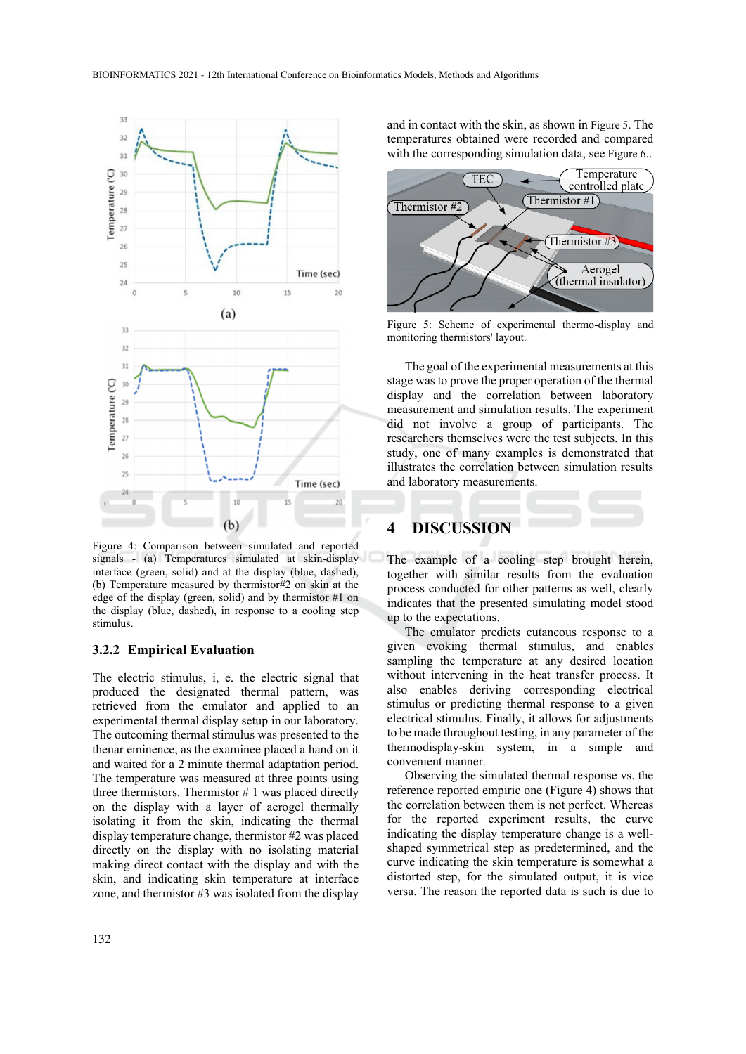

Figure 4: Comparison between simulated and reported signals - (a) Temperatures simulated at skin-display interface (green, solid) and at the display (blue, dashed), (b) Temperature measured by thermistor#2 on skin at the edge of the display (green, solid) and by thermistor #1 on the display (blue, dashed), in response to a cooling step stimulus.

#### **3.2.2 Empirical Evaluation**

The electric stimulus, i, e. the electric signal that produced the designated thermal pattern, was retrieved from the emulator and applied to an experimental thermal display setup in our laboratory. The outcoming thermal stimulus was presented to the thenar eminence, as the examinee placed a hand on it and waited for a 2 minute thermal adaptation period. The temperature was measured at three points using three thermistors. Thermistor  $# 1$  was placed directly on the display with a layer of aerogel thermally isolating it from the skin, indicating the thermal display temperature change, thermistor #2 was placed directly on the display with no isolating material making direct contact with the display and with the skin, and indicating skin temperature at interface zone, and thermistor #3 was isolated from the display

and in contact with the skin, as shown in Figure 5. The temperatures obtained were recorded and compared with the corresponding simulation data, see Figure 6..



Figure 5: Scheme of experimental thermo-display and monitoring thermistors' layout.

The goal of the experimental measurements at this stage was to prove the proper operation of the thermal display and the correlation between laboratory measurement and simulation results. The experiment did not involve a group of participants. The researchers themselves were the test subjects. In this study, one of many examples is demonstrated that illustrates the correlation between simulation results and laboratory measurements.

## **4 DISCUSSION**

The example of a cooling step brought herein, together with similar results from the evaluation process conducted for other patterns as well, clearly indicates that the presented simulating model stood up to the expectations.

The emulator predicts cutaneous response to a given evoking thermal stimulus, and enables sampling the temperature at any desired location without intervening in the heat transfer process. It also enables deriving corresponding electrical stimulus or predicting thermal response to a given electrical stimulus. Finally, it allows for adjustments to be made throughout testing, in any parameter of the thermodisplay-skin system, in a simple and convenient manner.

Observing the simulated thermal response vs. the reference reported empiric one (Figure 4) shows that the correlation between them is not perfect. Whereas for the reported experiment results, the curve indicating the display temperature change is a wellshaped symmetrical step as predetermined, and the curve indicating the skin temperature is somewhat a distorted step, for the simulated output, it is vice versa. The reason the reported data is such is due to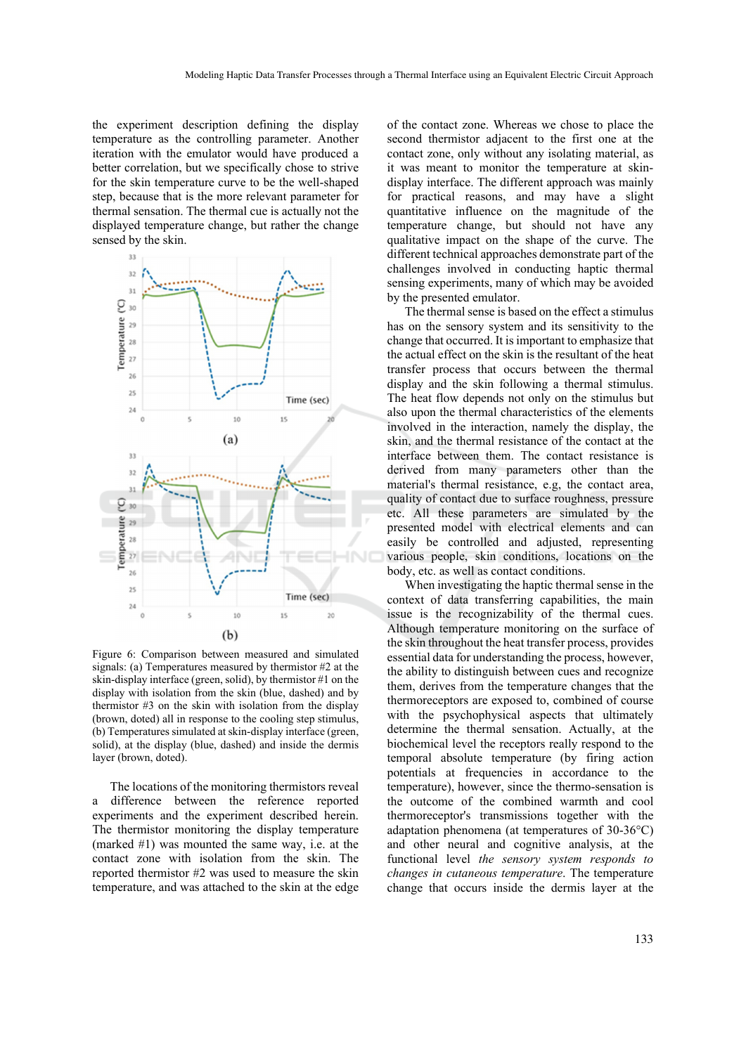the experiment description defining the display temperature as the controlling parameter. Another iteration with the emulator would have produced a better correlation, but we specifically chose to strive for the skin temperature curve to be the well-shaped step, because that is the more relevant parameter for thermal sensation. The thermal cue is actually not the displayed temperature change, but rather the change sensed by the skin.



Figure 6: Comparison between measured and simulated signals: (a) Temperatures measured by thermistor #2 at the skin-display interface (green, solid), by thermistor #1 on the display with isolation from the skin (blue, dashed) and by thermistor #3 on the skin with isolation from the display (brown, doted) all in response to the cooling step stimulus, (b) Temperatures simulated at skin-display interface (green, solid), at the display (blue, dashed) and inside the dermis layer (brown, doted).

The locations of the monitoring thermistors reveal a difference between the reference reported experiments and the experiment described herein. The thermistor monitoring the display temperature (marked #1) was mounted the same way, i.e. at the contact zone with isolation from the skin. The reported thermistor #2 was used to measure the skin temperature, and was attached to the skin at the edge

of the contact zone. Whereas we chose to place the second thermistor adjacent to the first one at the contact zone, only without any isolating material, as it was meant to monitor the temperature at skindisplay interface. The different approach was mainly for practical reasons, and may have a slight quantitative influence on the magnitude of the temperature change, but should not have any qualitative impact on the shape of the curve. The different technical approaches demonstrate part of the challenges involved in conducting haptic thermal sensing experiments, many of which may be avoided by the presented emulator.

The thermal sense is based on the effect a stimulus has on the sensory system and its sensitivity to the change that occurred. It is important to emphasize that the actual effect on the skin is the resultant of the heat transfer process that occurs between the thermal display and the skin following a thermal stimulus. The heat flow depends not only on the stimulus but also upon the thermal characteristics of the elements involved in the interaction, namely the display, the skin, and the thermal resistance of the contact at the interface between them. The contact resistance is derived from many parameters other than the material's thermal resistance, e.g, the contact area, quality of contact due to surface roughness, pressure etc. All these parameters are simulated by the presented model with electrical elements and can easily be controlled and adjusted, representing various people, skin conditions, locations on the body, etc. as well as contact conditions.

When investigating the haptic thermal sense in the context of data transferring capabilities, the main issue is the recognizability of the thermal cues. Although temperature monitoring on the surface of the skin throughout the heat transfer process, provides essential data for understanding the process, however, the ability to distinguish between cues and recognize them, derives from the temperature changes that the thermoreceptors are exposed to, combined of course with the psychophysical aspects that ultimately determine the thermal sensation. Actually, at the biochemical level the receptors really respond to the temporal absolute temperature (by firing action potentials at frequencies in accordance to the temperature), however, since the thermo-sensation is the outcome of the combined warmth and cool thermoreceptor's transmissions together with the adaptation phenomena (at temperatures of 30-36°C) and other neural and cognitive analysis, at the functional level *the sensory system responds to changes in cutaneous temperature*. The temperature change that occurs inside the dermis layer at the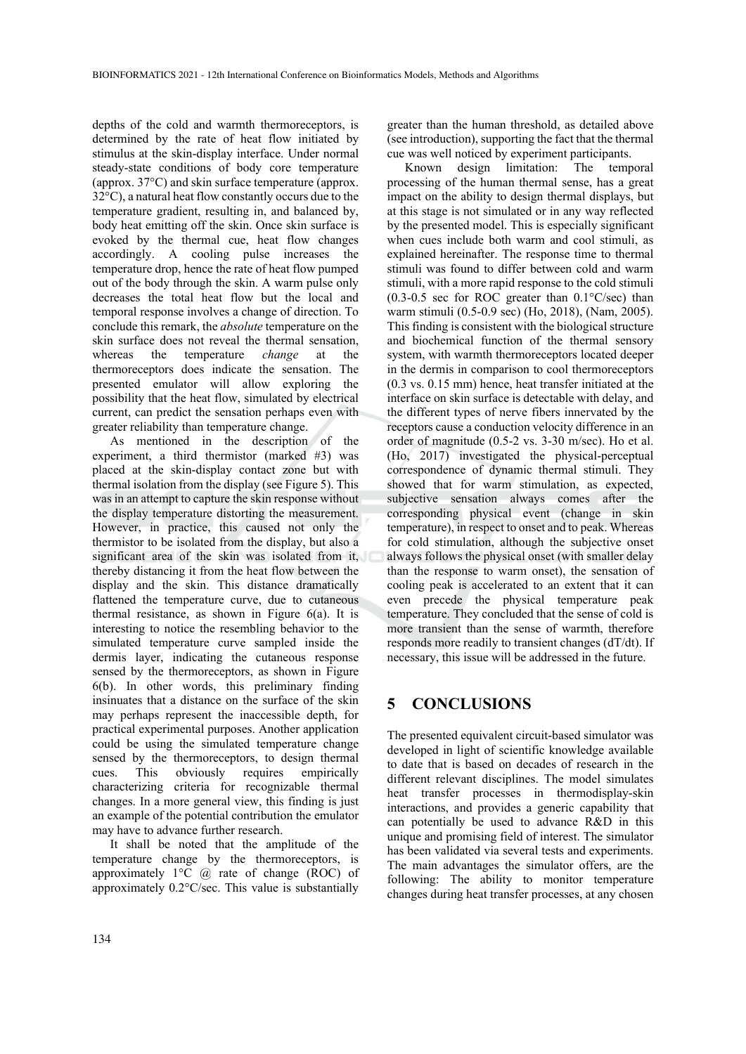depths of the cold and warmth thermoreceptors, is determined by the rate of heat flow initiated by stimulus at the skin-display interface. Under normal steady-state conditions of body core temperature (approx. 37°C) and skin surface temperature (approx. 32°C), a natural heat flow constantly occurs due to the temperature gradient, resulting in, and balanced by, body heat emitting off the skin. Once skin surface is evoked by the thermal cue, heat flow changes accordingly. A cooling pulse increases the temperature drop, hence the rate of heat flow pumped out of the body through the skin. A warm pulse only decreases the total heat flow but the local and temporal response involves a change of direction. To conclude this remark, the *absolute* temperature on the skin surface does not reveal the thermal sensation, whereas the temperature *change* at the thermoreceptors does indicate the sensation. The presented emulator will allow exploring the possibility that the heat flow, simulated by electrical current, can predict the sensation perhaps even with greater reliability than temperature change.

As mentioned in the description of the experiment, a third thermistor (marked #3) was placed at the skin-display contact zone but with thermal isolation from the display (see Figure 5). This was in an attempt to capture the skin response without the display temperature distorting the measurement. However, in practice, this caused not only the thermistor to be isolated from the display, but also a significant area of the skin was isolated from it, thereby distancing it from the heat flow between the display and the skin. This distance dramatically flattened the temperature curve, due to cutaneous thermal resistance, as shown in Figure  $6(a)$ . It is interesting to notice the resembling behavior to the simulated temperature curve sampled inside the dermis layer, indicating the cutaneous response sensed by the thermoreceptors, as shown in Figure 6(b). In other words, this preliminary finding insinuates that a distance on the surface of the skin may perhaps represent the inaccessible depth, for practical experimental purposes. Another application could be using the simulated temperature change sensed by the thermoreceptors, to design thermal cues. This obviously requires empirically characterizing criteria for recognizable thermal changes. In a more general view, this finding is just an example of the potential contribution the emulator may have to advance further research.

It shall be noted that the amplitude of the temperature change by the thermoreceptors, is approximately  $1^{\circ}C$  @ rate of change (ROC) of approximately 0.2°C/sec. This value is substantially

greater than the human threshold, as detailed above (see introduction), supporting the fact that the thermal cue was well noticed by experiment participants.

Known design limitation: The temporal processing of the human thermal sense, has a great impact on the ability to design thermal displays, but at this stage is not simulated or in any way reflected by the presented model. This is especially significant when cues include both warm and cool stimuli, as explained hereinafter. The response time to thermal stimuli was found to differ between cold and warm stimuli, with a more rapid response to the cold stimuli  $(0.3-0.5 \text{ sec for ROC greater than } 0.1^{\circ}\text{C/sec})$  than warm stimuli (0.5-0.9 sec) (Ho, 2018), (Nam, 2005). This finding is consistent with the biological structure and biochemical function of the thermal sensory system, with warmth thermoreceptors located deeper in the dermis in comparison to cool thermoreceptors (0.3 vs. 0.15 mm) hence, heat transfer initiated at the interface on skin surface is detectable with delay, and the different types of nerve fibers innervated by the receptors cause a conduction velocity difference in an order of magnitude (0.5-2 vs. 3-30 m/sec). Ho et al. (Ho, 2017) investigated the physical-perceptual correspondence of dynamic thermal stimuli. They showed that for warm stimulation, as expected, subjective sensation always comes after the corresponding physical event (change in skin temperature), in respect to onset and to peak. Whereas for cold stimulation, although the subjective onset always follows the physical onset (with smaller delay than the response to warm onset), the sensation of cooling peak is accelerated to an extent that it can even precede the physical temperature peak temperature. They concluded that the sense of cold is more transient than the sense of warmth, therefore responds more readily to transient changes (dT/dt). If necessary, this issue will be addressed in the future.

# **5 CONCLUSIONS**

The presented equivalent circuit-based simulator was developed in light of scientific knowledge available to date that is based on decades of research in the different relevant disciplines. The model simulates heat transfer processes in thermodisplay-skin interactions, and provides a generic capability that can potentially be used to advance R&D in this unique and promising field of interest. The simulator has been validated via several tests and experiments. The main advantages the simulator offers, are the following: The ability to monitor temperature changes during heat transfer processes, at any chosen